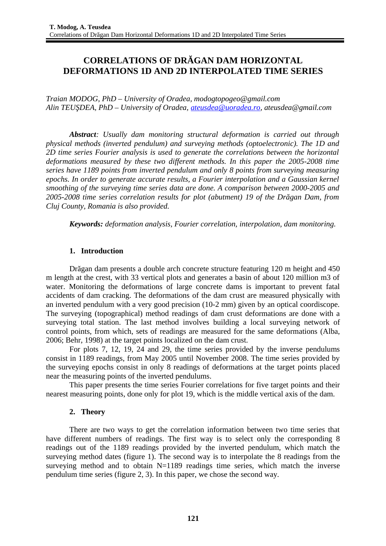# **CORRELATIONS OF DRĂGAN DAM HORIZONTAL DEFORMATIONS 1D AND 2D INTERPOLATED TIME SERIES**

*Traian MODOG, PhD – University of Oradea, modogtopogeo@gmail.com Alin TEUŞDEA, PhD – University of Oradea, [ateusdea@uoradea.ro,](mailto:ateusdea@uoradea.ro) ateusdea@gmail.com*

*Abstract: Usually dam monitoring structural deformation is carried out through physical methods (inverted pendulum) and surveying methods (optoelectronic). The 1D and 2D time series Fourier analysis is used to generate the correlations between the horizontal deformations measured by these two different methods. In this paper the 2005-2008 time series have 1189 points from inverted pendulum and only 8 points from surveying measuring epochs. In order to generate accurate results, a Fourier interpolation and a Gaussian kernel smoothing of the surveying time series data are done. A comparison between 2000-2005 and 2005-2008 time series correlation results for plot (abutment) 19 of the Drăgan Dam, from Cluj County, Romania is also provided.*

*Keywords: deformation analysis, Fourier correlation, interpolation, dam monitoring.*

## **1. Introduction**

Drăgan dam presents a double arch concrete structure featuring 120 m height and 450 m length at the crest, with 33 vertical plots and generates a basin of about 120 million m3 of water. Monitoring the deformations of large concrete dams is important to prevent fatal accidents of dam cracking. The deformations of the dam crust are measured physically with an inverted pendulum with a very good precision (10-2 mm) given by an optical coordiscope. The surveying (topographical) method readings of dam crust deformations are done with a surveying total station. The last method involves building a local surveying network of control points, from which, sets of readings are measured for the same deformations (Alba, 2006; Behr, 1998) at the target points localized on the dam crust.

For plots 7, 12, 19, 24 and 29, the time series provided by the inverse pendulums consist in 1189 readings, from May 2005 until November 2008. The time series provided by the surveying epochs consist in only 8 readings of deformations at the target points placed near the measuring points of the inverted pendulums.

This paper presents the time series Fourier correlations for five target points and their nearest measuring points, done only for plot 19, which is the middle vertical axis of the dam.

### **2. Theory**

There are two ways to get the correlation information between two time series that have different numbers of readings. The first way is to select only the corresponding 8 readings out of the 1189 readings provided by the inverted pendulum, which match the surveying method dates (figure 1). The second way is to interpolate the 8 readings from the surveying method and to obtain N=1189 readings time series, which match the inverse pendulum time series (figure 2, 3). In this paper, we chose the second way.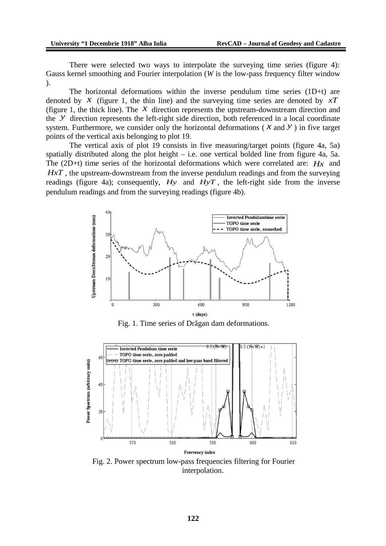There were selected two ways to interpolate the surveying time series (figure 4): Gauss kernel smoothing and Fourier interpolation (*W* is the low-pass frequency filter window ).

The horizontal deformations within the inverse pendulum time series  $(1D+t)$  are denoted by *x* (figure 1, the thin line) and the surveying time series are denoted by *xT* (figure 1, the thick line). The *x* direction represents the upstream-downstream direction and the *y* direction represents the left-right side direction, both referenced in a local coordinate system. Furthermore, we consider only the horizontal deformations ( *x* and *y* ) in five target points of the vertical axis belonging to plot 19.

The vertical axis of plot 19 consists in five measuring/target points (figure 4a, 5a) spatially distributed along the plot height  $-$  i.e. one vertical bolded line from figure 4a, 5a. The (2D+t) time series of the horizontal deformations which were correlated are:  $H_X$  and *HxT*, the upstream-downstream from the inverse pendulum readings and from the surveying readings (figure 4a); consequently, *Hy* and *HyT* , the left-right side from the inverse pendulum readings and from the surveying readings (figure 4b).



Fig. 1. Time series of Drăgan dam deformations.



Fig. 2. Power spectrum low-pass frequencies filtering for Fourier interpolation.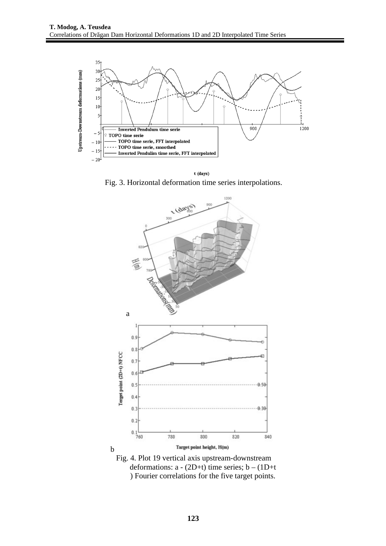

 $t$  (days)

Fig. 3. Horizontal deformation time series interpolations.





b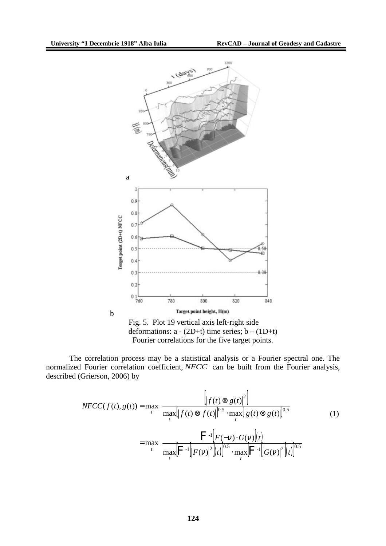b



Fig. 5. Plot 19 vertical axis left-right side deformations:  $a - (2D+t)$  time series;  $b - (1D+t)$ Fourier correlations for the five target points.

The correlation process may be a statistical analysis or a Fourier spectral one. The normalized Fourier correlation coefficient, *NFCC* can be built from the Fourier analysis, described (Grierson, 2006) by

$$
NFCC(f(t), g(t)) = \max_{t} \left[ \frac{\left| f(t) \otimes g(t) \right|^{2}}{\max_{t} \left| f(t) \otimes f(t) \right|^{0.5} \cdot \max_{t} \left| g(t) \otimes g(t) \right|^{0.5}} \right]
$$
  
= 
$$
\max_{t} \left[ \frac{\mathbf{F}^{-1} \left[ F(-v) \cdot G(v) \right] (t)}{\max_{t} \left[ \mathbf{F}^{-1} \left[ F(v) \right]^{2} \right] (t) \right]^{0.5} \cdot \max_{t} \left[ \mathbf{F}^{-1} \left[ G(v) \right]^{2} \right] (t) \right]^{0.5}}
$$
(1)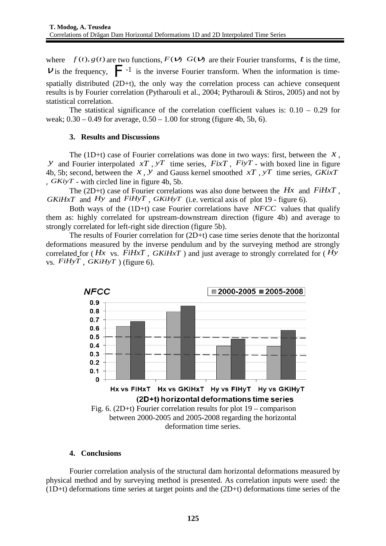where  $f(t)$ ,  $g(t)$  are two functions,  $F(v)$  *G*(*v*) are their Fourier transforms, *t* is the time,  $\bf{V}$  is the frequency,  $\bf{F}$  <sup>-1</sup> is the inverse Fourier transform. When the information is timespatially distributed  $(2D+t)$ , the only way the correlation process can achieve consequent results is by Fourier correlation (Pytharouli et al., 2004; Pytharouli & Stiros, 2005) and not by statistical correlation.

The statistical significance of the correlation coefficient values is:  $0.10 - 0.29$  for weak;  $0.30 - 0.49$  for average,  $0.50 - 1.00$  for strong (figure 4b, 5b, 6).

### **3. Results and Discussions**

The (1D+t) case of Fourier correlations was done in two ways: first, between the *x* , *y* and Fourier interpolated *xT* , *yT* time series, *FixT* , *FiyT* - with boxed line in figure 4b, 5b; second, between the  $\overline{X}$ ,  $\overline{Y}$  and Gauss kernel smoothed  $\overline{X}$ ,  $\overline{Y}$  time series,  $GKixT$ , *GKiyT* - with circled line in figure 4b, 5b.

The (2D+t) case of Fourier correlations was also done between the *Hx* and *FiHxT* , *GKiHxT* and *Hy* and *FiHyT* , *GKiHyT* (i.e. vertical axis of plot 19 - figure 6).

Both ways of the (1D+t) case Fourier correlations have *NFCC* values that qualify them as: highly correlated for upstream-downstream direction (figure 4b) and average to strongly correlated for left-right side direction (figure 5b).

The results of Fourier correlation for (2D+t) case time series denote that the horizontal deformations measured by the inverse pendulum and by the surveying method are strongly correlated for ( *Hx* vs. *FiHxT* , *GKiHxT* ) and just average to strongly correlated for ( *Hy* vs. *FiHyT* , *GKiHyT* ) (figure 6).



### **4. Conclusions**

Fourier correlation analysis of the structural dam horizontal deformations measured by physical method and by surveying method is presented. As correlation inputs were used: the  $(1D+t)$  deformations time series at target points and the  $(2D+t)$  deformations time series of the